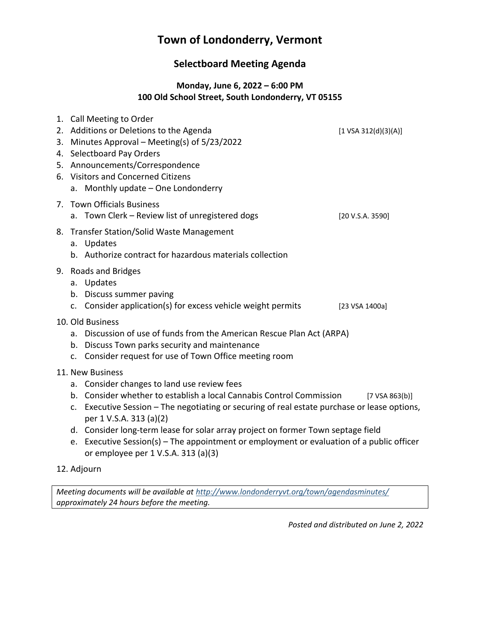# **Town of Londonderry, Vermont**

# **Selectboard Meeting Agenda**

### **Monday, June 6, 2022 – 6:00 PM 100 Old School Street, South Londonderry, VT 05155**

|                  |                                                                                                                                                                                                                                                                                                                                                                             | 1. Call Meeting to Order<br>2. Additions or Deletions to the Agenda<br>3. Minutes Approval – Meeting(s) of 5/23/2022<br>4. Selectboard Pay Orders<br>5. Announcements/Correspondence<br>6. Visitors and Concerned Citizens<br>a. Monthly update - One Londonderry | [1 VSA 312(d)(3)(A)] |  |
|------------------|-----------------------------------------------------------------------------------------------------------------------------------------------------------------------------------------------------------------------------------------------------------------------------------------------------------------------------------------------------------------------------|-------------------------------------------------------------------------------------------------------------------------------------------------------------------------------------------------------------------------------------------------------------------|----------------------|--|
|                  |                                                                                                                                                                                                                                                                                                                                                                             | 7. Town Officials Business<br>a. Town Clerk - Review list of unregistered dogs                                                                                                                                                                                    | [20 V.S.A. 3590]     |  |
|                  |                                                                                                                                                                                                                                                                                                                                                                             | 8. Transfer Station/Solid Waste Management<br>a. Updates<br>b. Authorize contract for hazardous materials collection                                                                                                                                              |                      |  |
|                  |                                                                                                                                                                                                                                                                                                                                                                             | 9. Roads and Bridges<br>a. Updates<br>b. Discuss summer paving<br>c. Consider application(s) for excess vehicle weight permits                                                                                                                                    | [23 VSA 1400a]       |  |
|                  | 10. Old Business<br>a. Discussion of use of funds from the American Rescue Plan Act (ARPA)<br>b. Discuss Town parks security and maintenance<br>Consider request for use of Town Office meeting room<br>$C_{\star}$                                                                                                                                                         |                                                                                                                                                                                                                                                                   |                      |  |
| 11. New Business |                                                                                                                                                                                                                                                                                                                                                                             |                                                                                                                                                                                                                                                                   |                      |  |
|                  | a. Consider changes to land use review fees<br>b. Consider whether to establish a local Cannabis Control Commission<br>$[7 \text{ VSA } 863(b)]$<br>Executive Session - The negotiating or securing of real estate purchase or lease options,<br>$C_{\star}$<br>per 1 V.S.A. 313 (a)(2)<br>d. Consider long-term lease for solar array project on former Town septage field |                                                                                                                                                                                                                                                                   |                      |  |
|                  | e.                                                                                                                                                                                                                                                                                                                                                                          | Executive Session(s) – The appointment or employment or evaluation of a public officer<br>or employee per 1 V.S.A. 313 (a)(3)                                                                                                                                     |                      |  |

### 12. Adjourn

*Meeting documents will be available at <http://www.londonderryvt.org/town/agendasminutes/> approximately 24 hours before the meeting.*

*Posted and distributed on June 2, 2022*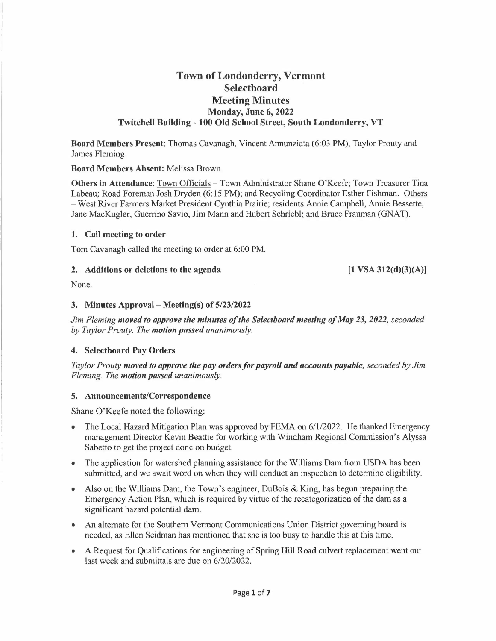## **Town of Londonderry, Vermont Selectboard Meeting Minutes Monday, June 6, 2022 Twitchell Building - 100 Old School Street, South Londonderry, VT**

**Board Members Present:** Thomas Cavanagh, Vincent Annunziata (6:03 PM), Taylor Prouty and James Fleming.

#### **Board Members Absent:** Melissa Brown.

**Others in Attendance:** Town Officials - Town Administrator Shane O'Keefe; Town Treasurer Tina Labeau; Road Foreman Josh Dryden (6:15 PM); and Recycling Coordinator Esther Fishman. Others - West River Farmers Market President Cynthia Prairie; residents Annie Campbell, Annie Bessette, Jane MacKugler, Guerrino Savio, Jim Mann and Hubert Schriebl; and Bruce Frauman (GNAT).

#### **1. Call meeting to order**

Tom Cavanagh called the meeting to order at 6:00 PM.

#### **2. Additions or deletions to the agenda**

**[1 VSA 312(d)(3)(A)]** 

None.

#### **3. Minutes Approval - Meeting(s) of 5/23/2022**

*Jim Fleming moved to approve the minutes of the Selecthoard meeting of May 23, 2022, seconded by Taylor Prouty. The motion passed unanimously.* 

#### **4. Selectboard Pay Orders**

*Taylor Prouty moved to approve the pay orders for payroll and accounts payable, seconded by Jim Fleming. The motion passed unanimously.* 

#### **5. Announcements/Correspondence**

Shane O'Keefe noted the following:

- The Local Hazard Mitigation Plan was approved by FEMA on  $6/1/2022$ . He thanked Emergency management Director Kevin Beattie for working with Windham Regional Commission's Alyssa Sabetto to get the project done on budget.
- The application for watershed planning assistance for the Williams Dam from USDA has been submitted, and we await word on when they will conduct an inspection to determine eligibility.
- Also on the Williams Dam, the Town's engineer, DuBois & King, has begun preparing the Emergency Action Plan, which is required by virtue of the recategorization of the dam as a significant hazard potential dam.
- An alternate for the Southern Vermont Communications Union District governing board is needed, as Ellen Seidman has mentioned that she is too busy to handle this at this time.
- A Request for Qualifications for engineering of Spring Hill Road culvert replacement went out last week and submittals are due on 6/20/2022.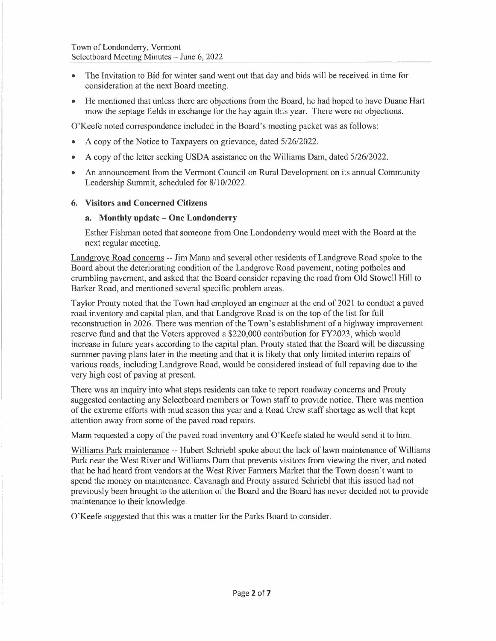- The Invitation to Bid for winter sand went out that day and bids will be received in time for consideration at the next Board meeting.
- He mentioned that unless there are objections from the Board, he had hoped to have Duane Hart mow the septage fields in exchange for the hay again this year. There were no objections.

O'Keefe noted correspondence included in the Board's meeting packet was as follows:

- A copy of the Notice to Taxpayers on grievance, dated 5/26/2022.
- A copy of the letter seeking USDA assistance on the Williams Dam, dated 5/26/2022.
- An announcement from the Vermont Council on Rural Development on its annual Community Leadership Summit, scheduled for 8/10/2022.

#### **6. Visitors and Concerned Citizens**

#### **a. Monthly update - One Londonderry**

Esther Fishman noted that someone from One Londonderry would meet with the Board at the next regular meeting.

Landgrove Road concerns -- Jim Mann and several other residents of Landgrove Road spoke to the Board about the deteriorating condition of the Landgrove Road pavement, noting potholes and crumbling pavement, and asked that the Board consider repaving the road from Old Stowell Hill to Barker Road, and mentioned several specific problem areas.

Taylor Prouty noted that the Town had employed an engineer at the end of 2021 to conduct a paved road inventory and capital plan, and that Landgrove Road is on the top of the list for full reconstruction in 2026. There was mention of the Town's establishment of a highway improvement reserve fund and that the Voters approved a \$220,000 contribution for FY2023, which would increase in future years according to the capital plan. Prouty stated that the Board will be discussing summer paving plans later in the meeting and that it is likely that only limited interim repairs of various roads, including Landgrove Road, would be considered instead of full repaving due to the very high cost of paving at present.

There was an inquiry into what steps residents can take to report roadway concerns and Prouty suggested contacting any Selectboard members or Town staff to provide notice. There was mention of the extreme efforts with mud season this year and a Road Crew staff shortage as well that kept attention away from some of the paved road repairs.

Mann requested a copy of the paved road inventory and O'Keefe stated he would send it to him.

Williams Park maintenance -- Hubert Schriebl spoke about the lack of lawn maintenance of Williams Park near the West River and Williams Dam that prevents visitors from viewing the river, and noted that he had heard from vendors at the West River Farmers Market that the Town doesn't want to spend the money on maintenance. Cavanagh and Prouty assured Schriebl that this issued had not previously been brought to the attention of the Board and the Board has never decided not to provide maintenance to their knowledge.

O'Keefe suggested that this was a matter for the Parks Board to consider.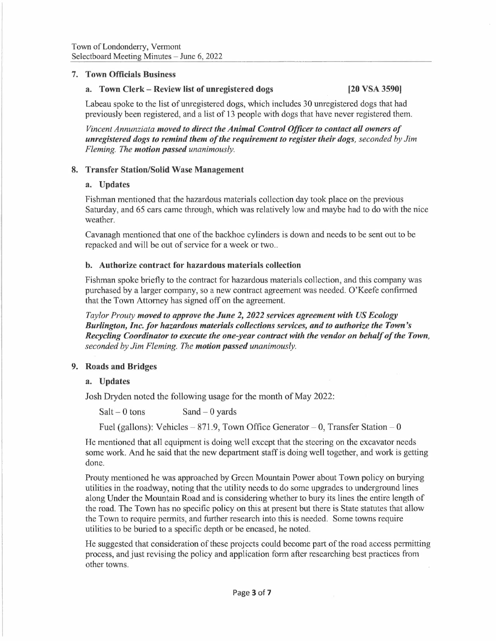#### **7. Town Officials Business**

#### **a. Town Clerk - Review list of unregistered dogs [20 VSA 3590)**

Labeau spoke to the list of unregistered dogs, which includes 30 unregistered dogs that had previously been registered, and a list of 13 people with dogs that have never registered them.

*Vincent Annunziata moved to direct the Animal Control Officer to contact all owners of unregistered dogs to remind them of the requirement to register their dogs, seconded by Jim Fleming. The motion passed unanimously.* 

#### **8. Transfer Station/Solid Wase Management**

#### **a. Updates**

Fishman mentioned that the hazardous materials collection day took place on the previous Saturday, and 65 cars came through, which was relatively low and maybe had to do with the nice weather.

Cavanagh mentioned that one of the backhoe cylinders is down and needs to be sent out to be repacked and will be out of service for a week or two..

#### **b. Authorize contract for hazardous materials collection**

Fishman spoke briefly to the contract for hazardous materials collection, and this company was purchased by a larger company, so a new contract agreement was needed. O'Keefe confirmed that the Town Attorney has signed off on the agreement.

*Taylor Prouty moved to approve the June 2, 2022 services agreement with US Ecology Burlington, Inc. for hazardous materials collections services, and to authorize the Town's Recycling Coordinator to execute the one-year contract with the vendor on behalf of the Town, seconded by Jim Fleming. The motion passed unanimously.* 

#### **9. Roads and Bridges**

#### **a. Updates**

Josh Dryden noted the following usage for the month of May 2022:

 $Salt - 0$  tons  $Sand - 0$  yards

Fuel (gallons): Vehicles  $-871.9$ , Town Office Generator  $- 0$ , Transfer Station  $- 0$ 

He mentioned that all equipment is doing well except that the steering on the excavator needs some work. And he said that the new department staff is doing well together, and work is getting done.

Prouty mentioned he was approached by Green Mountain Power about Town policy on burying utilities in the roadway, noting that the utility needs to do some upgrades to underground lines along Under the Mountain Road and is considering whether to bury its lines the entire length of the road. The Town has no specific policy on this at present but there is State statutes that allow the Town to require permits, and further research into this is needed. Some towns require utilities to be buried to a specific depth or be encased, he noted.

He suggested that consideration of these projects could become part of the road access permitting process, and just revising the policy and application form after researching best practices from other towns.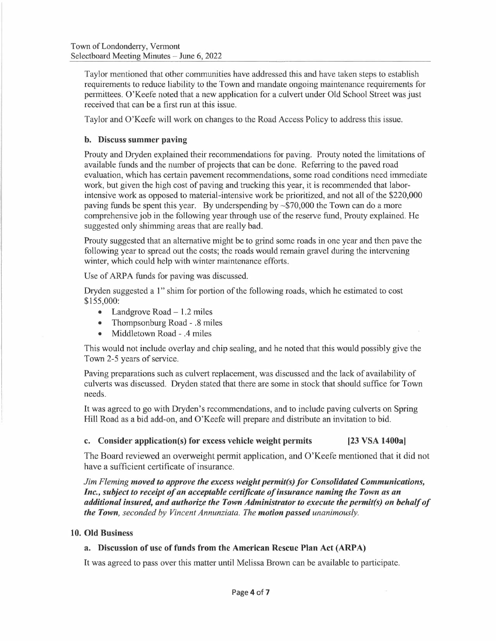Taylor mentioned that other communities have addressed this and have taken steps to establish requirements to reduce liability to the Town and mandate ongoing maintenance requirements for permittees. O'Keefe noted that a new application for a culvert under Old School Street was just received that can be a first run at this issue.

Taylor and O'Keefe will work on changes to the Road Access Policy to address this issue.

#### **b. Discuss summer paving**

Prouty and Dryden explained their recommendations for paving. Prouty noted the limitations of available funds and the number of projects that can be done. Referring to the paved road evaluation, which has certain pavement recommendations, some road conditions need immediate work, but given the high cost of paving and trucking this year, it is recommended that laborintensive work as opposed to material-intensive work be prioritized, and not all of the \$220,000 paving funds be spent this year. By underspending by  $\sim$  \$70,000 the Town can do a more comprehensive job in the following year through use of the reserve fund, Prouty explained. He suggested only shimming areas that are really bad.

Prouty suggested that an alternative might be to grind some roads in one year and then pave the following year to spread out the costs; the roads would remain gravel during the intervening winter, which could help with winter maintenance efforts.

Use of ARPA funds for paving was discussed.

Dryden suggested a 1" shim for portion of the following roads, which he estimated to cost \$155,000:

- Landgrove Road  $-1.2$  miles
- Thompsonburg Road .8 miles
- Middletown Road .4 miles

This would not include overlay and chip sealing, and he noted that this would possibly give the Town 2-5 years of service.

Paving preparations such as culvert replacement, was discussed and the lack of availability of culverts was discussed. Dryden stated that there are some in stock that should suffice for Town needs.

It was agreed to go with Dryden's recommendations, and to include paving culverts on Spring Hill Road as a bid add-on, and O'Keefe will prepare and distribute an invitation to bid.

**c. Consider application(s) for excess vehicle weight permits [23 VSA 1400a]** 

The Board reviewed an overweight permit application, and O'Keefe mentioned that it did not have a sufficient certificate of insurance.

*Jim Fleming moved to approve the excess weight permius) for Consolidated Communications, Inc., subject to receipt of an acceptable certificate of insurance naming the Town as an additional insured, and authorize the Town Administrator to execute the permitts) on behalf of the Town, seconded by Vincent Annunziata. The motion passed unanimously.* 

#### **10. Old Business**

#### **a. Discussion of use offunds from the American Rescue Plan Act (ARPA)**

It was agreed to pass over this matter until Melissa Brown can be available to participate.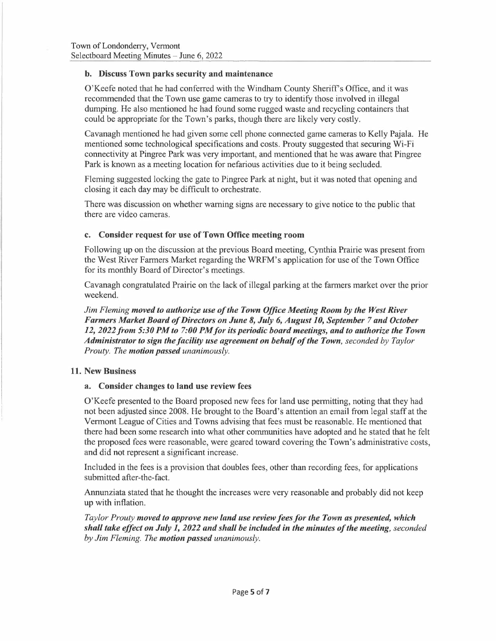#### **b. Discuss Town parks security and maintenance**

O'Keefe noted that he had conferred with the Windham County Sheriffs Office, and it was recommended that the Town use game cameras to try to identify those involved in illegal dumping. He also mentioned he had found some rugged waste and recycling containers that could be appropriate for the Town's parks, though there are likely very costly.

Cavanagh mentioned he had given some cell phone connected game cameras to Kelly Pajala. He mentioned some technological specifications and costs. Prouty suggested that securing Wi-Fi connectivity at Pingree Park was very important, and mentioned that he was aware that Pingree Park is known as a meeting location for nefarious activities due to it being secluded.

Fleming suggested locking the gate to Pingree Park at night, but it was noted that opening and closing it each day may be difficult to orchestrate.

There was discussion on whether warning signs are necessary to give notice to the public that there are video cameras.

#### **c. Consider request for use of Town Office meeting room**

Following up on the discussion at the previous Board meeting, Cynthia Prairie was present from the West River Farmers Market regarding the WRFM's application for use of the Town Office for its monthly Board of Director's meetings.

Cavanagh congratulated Prairie on the lack of illegal parking at the farmers market over the prior weekend.

*Jim Fleming moved to authorize use of the Town Office Meeting Room by the West River Farmers Market Board of Directors on June 8, July 6, August 10, September 7 and October* 12, 2022 from 5:30 PM to 7:00 PM for its periodic board meetings, and to authorize the Town *Administrator to sign the facility use agreement on behalf of the Town, seconded by Taylor Prouty. The motion passed unanimously.* 

#### **11. New Business**

#### **a. Consider changes to land use review fees**

O'Keefe presented to the Board proposed new fees for land use permitting, noting that they had not been adjusted since 2008. He brought to the Board's attention an email from legal staff at the Vermont League of Cities and Towns advising that fees must be reasonable. He mentioned that there had been some research into what other communities have adopted and he stated that he felt the proposed fees were reasonable, were geared toward covering the Town's administrative costs, and did not represent a significant increase.

Included in the fees is a provision that doubles fees, other than recording fees, for applications submitted after-the-fact.

Annunziata stated that he thought the increases were very reasonable and probably did not keep up with inflation.

*Taylor Prouty moved to approve new land use review fees for the Town as presented, which shall take effect on July 1, 2022 and shall be included in the minutes of the meeting, seconded by Jim Fleming. The motion passed unanimously.*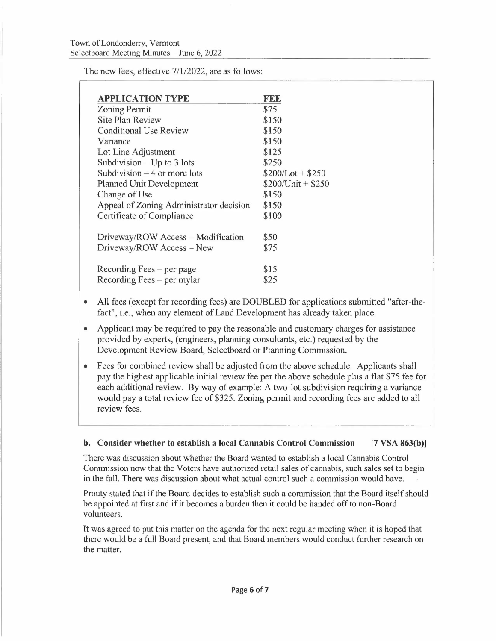The new fees, effective 7/1/2022, are as follows:

| <b>APPLICATION TYPE</b>                 | <b>FEE</b>         |
|-----------------------------------------|--------------------|
| <b>Zoning Permit</b>                    | \$75               |
| <b>Site Plan Review</b>                 | \$150              |
| Conditional Use Review                  | \$150              |
| Variance                                | \$150              |
| Lot Line Adjustment                     | \$125              |
| Subdivision $-$ Up to 3 lots            | \$250              |
| Subdivision $-4$ or more lots           | $$200/Lot + $250$  |
| <b>Planned Unit Development</b>         | $$200/Unit + $250$ |
| Change of Use                           | \$150              |
| Appeal of Zoning Administrator decision | \$150              |
| Certificate of Compliance               | \$100              |
| Driveway/ROW Access – Modification      | \$50               |
| Driveway/ROW Access - New               | \$75               |
| Recording Fees $-$ per page             | \$15               |
| Recording Fees $-$ per mylar            | \$25               |
|                                         |                    |

- All fees (except for recording fees) are DOUBLED for applications submitted "after-thefact", i.e., when any element of Land Development has already taken place.
- Applicant may be required to pay the reasonable and customary charges for assistance provided by experts, (engineers, planning consultants, etc.) requested by the Development Review Board, Selectboard or Planning Commission.
- Fees for combined review shall be adjusted from the above schedule. Applicants shall pay the highest applicable initial review fee per the above schedule plus a flat \$75 fee for each additional review. By way of example: A two-lot subdivision requiring a variance would pay a total review fee of \$325. Zoning permit and recording fees are added to all review fees.

#### **b. Consider whether to establish a local Cannabis Control Commission [7 VSA 863(b)]**

There was discussion about whether the Board wanted to establish a local Cannabis Control Commission now that the Voters have authorized retail sales of cannabis, such sales set to begin in the fall. There was discussion about what actual control such a commission would have.

Prouty stated that if the Board decides to establish such a commission that the Board itself should be appointed at first and if it becomes a burden then it could be handed off to non-Board volunteers.

It was agreed to put this matter on the agenda for the next regular meeting when it is hoped that there would be a full Board present, and that Board members would conduct further research on the matter.